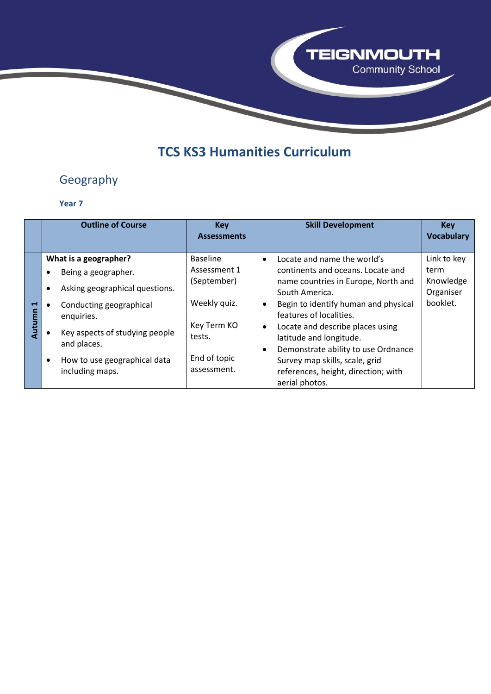

## **TCS KS3 Humanities Curriculum**

## Geography

|                                 | <b>Outline of Course</b>                                                                                                                                                                                                           | <b>Key</b><br><b>Assessments</b>                                                                        | <b>Skill Development</b>                                                                                                                                                                                                                                                                                                                                                                 | <b>Key</b><br><b>Vocabulary</b>                           |
|---------------------------------|------------------------------------------------------------------------------------------------------------------------------------------------------------------------------------------------------------------------------------|---------------------------------------------------------------------------------------------------------|------------------------------------------------------------------------------------------------------------------------------------------------------------------------------------------------------------------------------------------------------------------------------------------------------------------------------------------------------------------------------------------|-----------------------------------------------------------|
| $\blacksquare$<br><b>Nutumn</b> | What is a geographer?<br>Being a geographer.<br>Asking geographical questions.<br>$\bullet$<br>Conducting geographical<br>enquiries.<br>Key aspects of studying people<br>and places.<br>How to use geographical data<br>$\bullet$ | <b>Baseline</b><br>Assessment 1<br>(September)<br>Weekly quiz.<br>Key Term KO<br>tests.<br>End of topic | Locate and name the world's<br>$\bullet$<br>continents and oceans. Locate and<br>name countries in Europe, North and<br>South America.<br>Begin to identify human and physical<br>$\bullet$<br>features of localities.<br>Locate and describe places using<br>$\bullet$<br>latitude and longitude.<br>Demonstrate ability to use Ordnance<br>$\bullet$<br>Survey map skills, scale, grid | Link to key<br>term<br>Knowledge<br>Organiser<br>booklet. |
|                                 | including maps.                                                                                                                                                                                                                    | assessment.                                                                                             | references, height, direction; with<br>aerial photos.                                                                                                                                                                                                                                                                                                                                    |                                                           |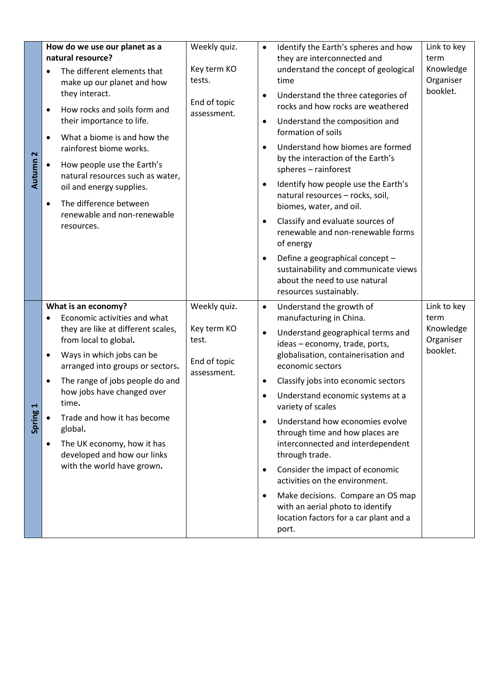| $\mathbf{\tilde{z}}$<br>Autumn | How do we use our planet as a<br>natural resource?<br>The different elements that<br>make up our planet and how<br>they interact.<br>How rocks and soils form and<br>$\bullet$<br>their importance to life.<br>What a biome is and how the<br>$\bullet$<br>rainforest biome works.<br>How people use the Earth's<br>natural resources such as water,<br>oil and energy supplies.<br>The difference between<br>$\bullet$<br>renewable and non-renewable | Weekly quiz.<br>Key term KO<br>tests.<br>End of topic<br>assessment. | Link to key<br>Identify the Earth's spheres and how<br>$\bullet$<br>they are interconnected and<br>term<br>Knowledge<br>understand the concept of geological<br>Organiser<br>time<br>booklet.<br>Understand the three categories of<br>$\bullet$<br>rocks and how rocks are weathered<br>Understand the composition and<br>$\bullet$<br>formation of soils<br>Understand how biomes are formed<br>$\bullet$<br>by the interaction of the Earth's<br>spheres - rainforest<br>Identify how people use the Earth's<br>$\bullet$<br>natural resources - rocks, soil,<br>biomes, water, and oil.                                                                                                                                                                    |
|--------------------------------|--------------------------------------------------------------------------------------------------------------------------------------------------------------------------------------------------------------------------------------------------------------------------------------------------------------------------------------------------------------------------------------------------------------------------------------------------------|----------------------------------------------------------------------|----------------------------------------------------------------------------------------------------------------------------------------------------------------------------------------------------------------------------------------------------------------------------------------------------------------------------------------------------------------------------------------------------------------------------------------------------------------------------------------------------------------------------------------------------------------------------------------------------------------------------------------------------------------------------------------------------------------------------------------------------------------|
|                                | resources.                                                                                                                                                                                                                                                                                                                                                                                                                                             |                                                                      | Classify and evaluate sources of<br>$\bullet$<br>renewable and non-renewable forms<br>of energy<br>Define a geographical concept -<br>$\bullet$<br>sustainability and communicate views<br>about the need to use natural<br>resources sustainably.                                                                                                                                                                                                                                                                                                                                                                                                                                                                                                             |
| Spring                         | What is an economy?<br>Economic activities and what<br>they are like at different scales,<br>from local to global.<br>Ways in which jobs can be<br>٠<br>arranged into groups or sectors.<br>The range of jobs people do and<br>$\bullet$<br>how jobs have changed over<br>time.<br>Trade and how it has become<br>global.<br>The UK economy, how it has<br>$\bullet$<br>developed and how our links<br>with the world have grown.                      | Weekly quiz.<br>Key term KO<br>test.<br>End of topic<br>assessment.  | Link to key<br>Understand the growth of<br>$\bullet$<br>manufacturing in China.<br>term<br>Knowledge<br>Understand geographical terms and<br>$\bullet$<br>Organiser<br>ideas - economy, trade, ports,<br>booklet.<br>globalisation, containerisation and<br>economic sectors<br>Classify jobs into economic sectors<br>$\bullet$<br>Understand economic systems at a<br>variety of scales<br>Understand how economies evolve<br>$\bullet$<br>through time and how places are<br>interconnected and interdependent<br>through trade.<br>Consider the impact of economic<br>$\bullet$<br>activities on the environment.<br>Make decisions. Compare an OS map<br>$\bullet$<br>with an aerial photo to identify<br>location factors for a car plant and a<br>port. |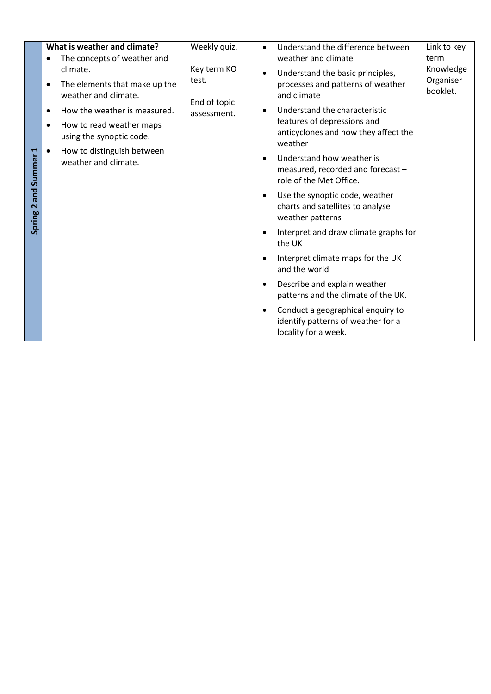|                       | What is weather and climate?                                                   | Weekly quiz.                | Link to key<br>Understand the difference between<br>$\bullet$                                                              |
|-----------------------|--------------------------------------------------------------------------------|-----------------------------|----------------------------------------------------------------------------------------------------------------------------|
|                       | The concepts of weather and                                                    |                             | weather and climate<br>term                                                                                                |
|                       | climate.<br>The elements that make up the<br>$\bullet$<br>weather and climate. | Key term KO<br>test.        | Knowledge<br>Understand the basic principles,<br>Organiser<br>processes and patterns of weather<br>booklet.<br>and climate |
|                       | How the weather is measured.<br>$\bullet$                                      | End of topic<br>assessment. | Understand the characteristic                                                                                              |
|                       | How to read weather maps<br>$\bullet$<br>using the synoptic code.              |                             | features of depressions and<br>anticyclones and how they affect the<br>weather                                             |
| Spring 2 and Summer 1 | How to distinguish between<br>$\bullet$<br>weather and climate.                |                             | Understand how weather is<br>measured, recorded and forecast -<br>role of the Met Office.                                  |
|                       |                                                                                |                             | Use the synoptic code, weather<br>charts and satellites to analyse<br>weather patterns                                     |
|                       |                                                                                |                             | Interpret and draw climate graphs for<br>٠<br>the UK                                                                       |
|                       |                                                                                |                             | Interpret climate maps for the UK<br>and the world                                                                         |
|                       |                                                                                |                             | Describe and explain weather<br>٠<br>patterns and the climate of the UK.                                                   |
|                       |                                                                                |                             | Conduct a geographical enquiry to<br>identify patterns of weather for a<br>locality for a week.                            |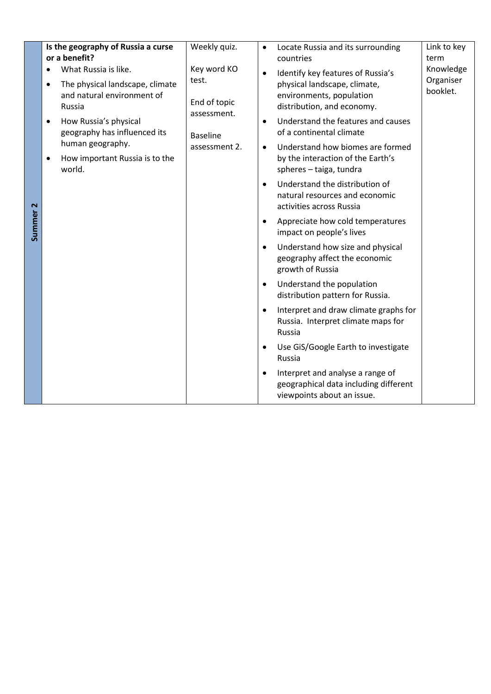|          | Is the geography of Russia a curse<br>or a benefit?                                    | Weekly quiz.         | Link to key<br>Locate Russia and its surrounding<br>$\bullet$<br>term<br>countries                                   |  |  |  |                                                                                                    |
|----------|----------------------------------------------------------------------------------------|----------------------|----------------------------------------------------------------------------------------------------------------------|--|--|--|----------------------------------------------------------------------------------------------------|
|          | What Russia is like.<br>$\bullet$                                                      | Key word KO<br>test. | Knowledge<br>Identify key features of Russia's<br>$\bullet$<br>Organiser                                             |  |  |  |                                                                                                    |
|          | The physical landscape, climate<br>$\bullet$<br>and natural environment of<br>Russia   | assessment.          | End of topic                                                                                                         |  |  |  | physical landscape, climate,<br>booklet.<br>environments, population<br>distribution, and economy. |
|          | How Russia's physical<br>$\bullet$<br>geography has influenced its<br>human geography. | <b>Baseline</b>      | Understand the features and causes<br>$\bullet$<br>of a continental climate                                          |  |  |  |                                                                                                    |
|          | How important Russia is to the<br>$\bullet$<br>world.                                  | assessment 2.        | Understand how biomes are formed<br>$\bullet$<br>by the interaction of the Earth's<br>spheres - taiga, tundra        |  |  |  |                                                                                                    |
|          |                                                                                        |                      | Understand the distribution of<br>natural resources and economic<br>activities across Russia                         |  |  |  |                                                                                                    |
| Summer 2 |                                                                                        |                      | Appreciate how cold temperatures<br>impact on people's lives                                                         |  |  |  |                                                                                                    |
|          |                                                                                        |                      | Understand how size and physical<br>$\bullet$<br>geography affect the economic<br>growth of Russia                   |  |  |  |                                                                                                    |
|          |                                                                                        |                      | Understand the population<br>$\bullet$<br>distribution pattern for Russia.                                           |  |  |  |                                                                                                    |
|          |                                                                                        |                      | Interpret and draw climate graphs for<br>$\bullet$<br>Russia. Interpret climate maps for<br>Russia                   |  |  |  |                                                                                                    |
|          |                                                                                        |                      | Use GiS/Google Earth to investigate<br>Russia                                                                        |  |  |  |                                                                                                    |
|          |                                                                                        |                      | Interpret and analyse a range of<br>$\bullet$<br>geographical data including different<br>viewpoints about an issue. |  |  |  |                                                                                                    |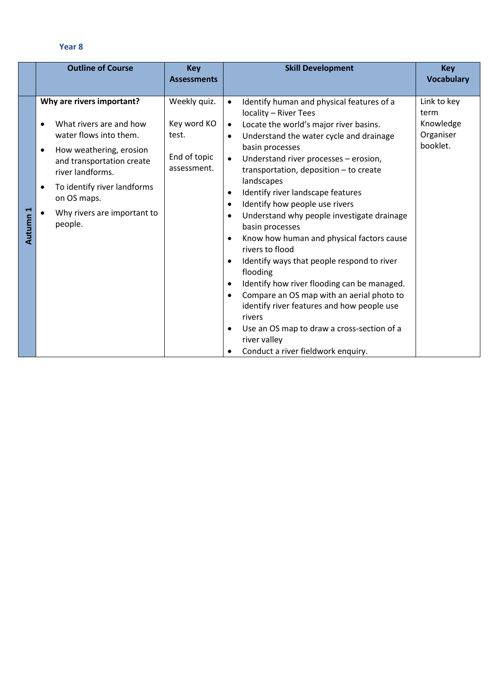|                                 | <b>Outline of Course</b>                                                                                                                                                                                                                                                                  | <b>Key</b><br><b>Assessments</b>                                    | <b>Skill Development</b>                                                                                                                                                                                                                                                                                                                                                                                                                                                                                                                                                                                                                                                                                                                                                                                                                                                                                                                                               | <b>Key</b><br><b>Vocabulary</b>                           |
|---------------------------------|-------------------------------------------------------------------------------------------------------------------------------------------------------------------------------------------------------------------------------------------------------------------------------------------|---------------------------------------------------------------------|------------------------------------------------------------------------------------------------------------------------------------------------------------------------------------------------------------------------------------------------------------------------------------------------------------------------------------------------------------------------------------------------------------------------------------------------------------------------------------------------------------------------------------------------------------------------------------------------------------------------------------------------------------------------------------------------------------------------------------------------------------------------------------------------------------------------------------------------------------------------------------------------------------------------------------------------------------------------|-----------------------------------------------------------|
| $\blacktriangleright$<br>Autumn | Why are rivers important?<br>What rivers are and how<br>$\bullet$<br>water flows into them.<br>How weathering, erosion<br>$\bullet$<br>and transportation create<br>river landforms.<br>To identify river landforms<br>$\bullet$<br>on OS maps.<br>Why rivers are important to<br>people. | Weekly quiz.<br>Key word KO<br>test.<br>End of topic<br>assessment. | Identify human and physical features of a<br>$\bullet$<br>locality - River Tees<br>Locate the world's major river basins.<br>$\bullet$<br>Understand the water cycle and drainage<br>$\bullet$<br>basin processes<br>Understand river processes - erosion,<br>$\bullet$<br>transportation, deposition - to create<br>landscapes<br>Identify river landscape features<br>$\bullet$<br>Identify how people use rivers<br>$\bullet$<br>Understand why people investigate drainage<br>$\bullet$<br>basin processes<br>Know how human and physical factors cause<br>$\bullet$<br>rivers to flood<br>Identify ways that people respond to river<br>$\bullet$<br>flooding<br>Identify how river flooding can be managed.<br>$\bullet$<br>Compare an OS map with an aerial photo to<br>$\bullet$<br>identify river features and how people use<br>rivers<br>Use an OS map to draw a cross-section of a<br>٠<br>river valley<br>Conduct a river fieldwork enquiry.<br>$\bullet$ | Link to key<br>term<br>Knowledge<br>Organiser<br>booklet. |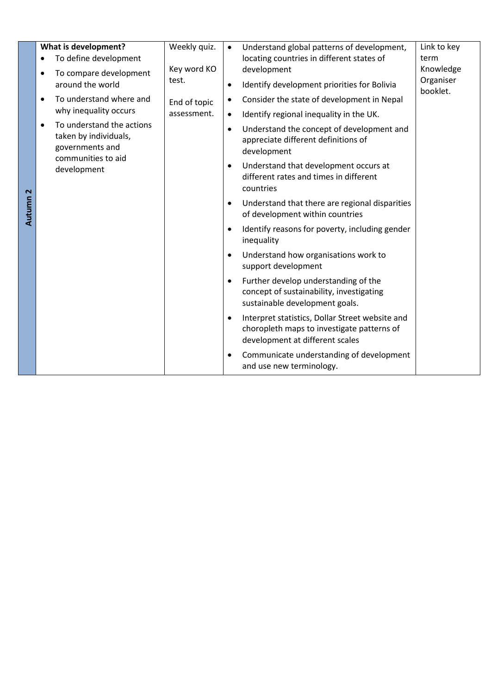|          | What is development?<br>To define development<br>$\bullet$<br>To compare development<br>$\bullet$<br>around the world                                                                    | Weekly quiz.<br>Key word KO<br>test. | $\bullet$<br>$\bullet$                                                                                            | Understand global patterns of development,<br>locating countries in different states of<br>development<br>Identify development priorities for Bolivia                                                                                                                                                                                                                                                                                                                                                                                                                                                                                                                                                                               | Link to key<br>term<br>Knowledge<br>Organiser<br>booklet. |
|----------|------------------------------------------------------------------------------------------------------------------------------------------------------------------------------------------|--------------------------------------|-------------------------------------------------------------------------------------------------------------------|-------------------------------------------------------------------------------------------------------------------------------------------------------------------------------------------------------------------------------------------------------------------------------------------------------------------------------------------------------------------------------------------------------------------------------------------------------------------------------------------------------------------------------------------------------------------------------------------------------------------------------------------------------------------------------------------------------------------------------------|-----------------------------------------------------------|
| Autumn 2 | To understand where and<br>$\bullet$<br>why inequality occurs<br>To understand the actions<br>$\bullet$<br>taken by individuals,<br>governments and<br>communities to aid<br>development | End of topic<br>assessment.          | $\bullet$<br>$\bullet$<br>$\bullet$<br>$\bullet$<br>$\bullet$<br>$\bullet$<br>$\bullet$<br>$\bullet$<br>$\bullet$ | Consider the state of development in Nepal<br>Identify regional inequality in the UK.<br>Understand the concept of development and<br>appreciate different definitions of<br>development<br>Understand that development occurs at<br>different rates and times in different<br>countries<br>Understand that there are regional disparities<br>of development within countries<br>Identify reasons for poverty, including gender<br>inequality<br>Understand how organisations work to<br>support development<br>Further develop understanding of the<br>concept of sustainability, investigating<br>sustainable development goals.<br>Interpret statistics, Dollar Street website and<br>choropleth maps to investigate patterns of |                                                           |
|          |                                                                                                                                                                                          |                                      | $\bullet$                                                                                                         | development at different scales<br>Communicate understanding of development<br>and use new terminology.                                                                                                                                                                                                                                                                                                                                                                                                                                                                                                                                                                                                                             |                                                           |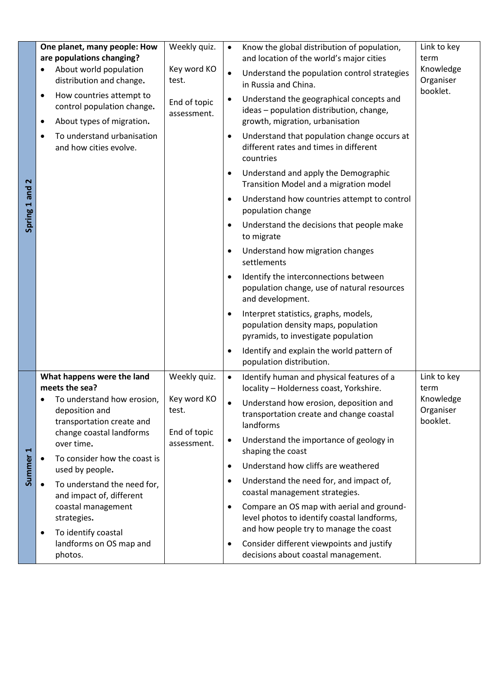| Spring 1 and 2 | One planet, many people: How<br>are populations changing?<br>About world population<br>distribution and change.<br>How countries attempt to<br>$\bullet$<br>control population change.<br>About types of migration.<br>$\bullet$<br>To understand urbanisation<br>C<br>and how cities evolve.                                                                                                                                   | Weekly quiz.<br>Key word KO<br>test.<br>End of topic<br>assessment. | $\bullet$<br>$\bullet$<br>٠<br>٠<br>٠<br>٠<br>$\bullet$<br>$\bullet$<br>$\bullet$<br>$\bullet$ | Know the global distribution of population,<br>and location of the world's major cities<br>Understand the population control strategies<br>in Russia and China.<br>Understand the geographical concepts and<br>ideas - population distribution, change,<br>growth, migration, urbanisation<br>Understand that population change occurs at<br>different rates and times in different<br>countries<br>Understand and apply the Demographic<br>Transition Model and a migration model<br>Understand how countries attempt to control<br>population change<br>Understand the decisions that people make<br>to migrate<br>Understand how migration changes<br>settlements<br>Identify the interconnections between<br>population change, use of natural resources<br>and development.<br>Interpret statistics, graphs, models,<br>population density maps, population<br>pyramids, to investigate population<br>Identify and explain the world pattern of<br>population distribution. | Link to key<br>term<br>Knowledge<br>Organiser<br>booklet. |
|----------------|---------------------------------------------------------------------------------------------------------------------------------------------------------------------------------------------------------------------------------------------------------------------------------------------------------------------------------------------------------------------------------------------------------------------------------|---------------------------------------------------------------------|------------------------------------------------------------------------------------------------|----------------------------------------------------------------------------------------------------------------------------------------------------------------------------------------------------------------------------------------------------------------------------------------------------------------------------------------------------------------------------------------------------------------------------------------------------------------------------------------------------------------------------------------------------------------------------------------------------------------------------------------------------------------------------------------------------------------------------------------------------------------------------------------------------------------------------------------------------------------------------------------------------------------------------------------------------------------------------------|-----------------------------------------------------------|
| Summer 1       | What happens were the land<br>meets the sea?<br>To understand how erosion,<br>٠<br>deposition and<br>transportation create and<br>change coastal landforms<br>over time.<br>To consider how the coast is<br>$\bullet$<br>used by people.<br>To understand the need for,<br>$\bullet$<br>and impact of, different<br>coastal management<br>strategies.<br>To identify coastal<br>$\bullet$<br>landforms on OS map and<br>photos. | Weekly quiz.<br>Key word KO<br>test.<br>End of topic<br>assessment. | $\bullet$<br>$\bullet$<br>$\bullet$<br>$\bullet$<br>$\bullet$<br>$\bullet$<br>٠                | Identify human and physical features of a<br>locality - Holderness coast, Yorkshire.<br>Understand how erosion, deposition and<br>transportation create and change coastal<br>landforms<br>Understand the importance of geology in<br>shaping the coast<br>Understand how cliffs are weathered<br>Understand the need for, and impact of,<br>coastal management strategies.<br>Compare an OS map with aerial and ground-<br>level photos to identify coastal landforms,<br>and how people try to manage the coast<br>Consider different viewpoints and justify<br>decisions about coastal management.                                                                                                                                                                                                                                                                                                                                                                            | Link to key<br>term<br>Knowledge<br>Organiser<br>booklet. |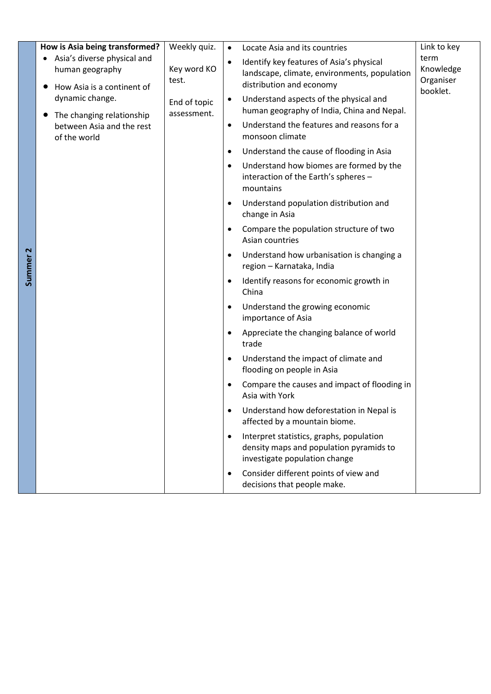|                     | How is Asia being transformed?                                                                         | Weekly quiz.                | $\bullet$ | Locate Asia and its countries                                                                                        | Link to key                    |
|---------------------|--------------------------------------------------------------------------------------------------------|-----------------------------|-----------|----------------------------------------------------------------------------------------------------------------------|--------------------------------|
|                     | Asia's diverse physical and<br>human geography<br>How Asia is a continent of<br>$\bullet$              | Key word KO<br>test.        | $\bullet$ | Identify key features of Asia's physical<br>landscape, climate, environments, population<br>distribution and economy | term<br>Knowledge<br>Organiser |
|                     | dynamic change.<br>The changing relationship<br>$\bullet$<br>between Asia and the rest<br>of the world | End of topic<br>assessment. |           | Understand aspects of the physical and<br>human geography of India, China and Nepal.                                 | booklet.                       |
|                     |                                                                                                        |                             | $\bullet$ | Understand the features and reasons for a<br>monsoon climate                                                         |                                |
|                     |                                                                                                        |                             | $\bullet$ | Understand the cause of flooding in Asia                                                                             |                                |
|                     |                                                                                                        |                             | $\bullet$ | Understand how biomes are formed by the<br>interaction of the Earth's spheres -<br>mountains                         |                                |
|                     |                                                                                                        |                             | $\bullet$ | Understand population distribution and<br>change in Asia                                                             |                                |
|                     |                                                                                                        |                             | $\bullet$ | Compare the population structure of two<br>Asian countries                                                           |                                |
| Summer <sub>2</sub> |                                                                                                        |                             | $\bullet$ | Understand how urbanisation is changing a<br>region - Karnataka, India                                               |                                |
|                     |                                                                                                        |                             | $\bullet$ | Identify reasons for economic growth in<br>China                                                                     |                                |
|                     |                                                                                                        |                             | $\bullet$ | Understand the growing economic<br>importance of Asia                                                                |                                |
|                     |                                                                                                        |                             | $\bullet$ | Appreciate the changing balance of world<br>trade                                                                    |                                |
|                     |                                                                                                        |                             | $\bullet$ | Understand the impact of climate and<br>flooding on people in Asia                                                   |                                |
|                     |                                                                                                        |                             | $\bullet$ | Compare the causes and impact of flooding in<br>Asia with York                                                       |                                |
|                     |                                                                                                        |                             | $\bullet$ | Understand how deforestation in Nepal is<br>affected by a mountain biome.                                            |                                |
|                     |                                                                                                        |                             | $\bullet$ | Interpret statistics, graphs, population<br>density maps and population pyramids to<br>investigate population change |                                |
|                     |                                                                                                        |                             | $\bullet$ | Consider different points of view and<br>decisions that people make.                                                 |                                |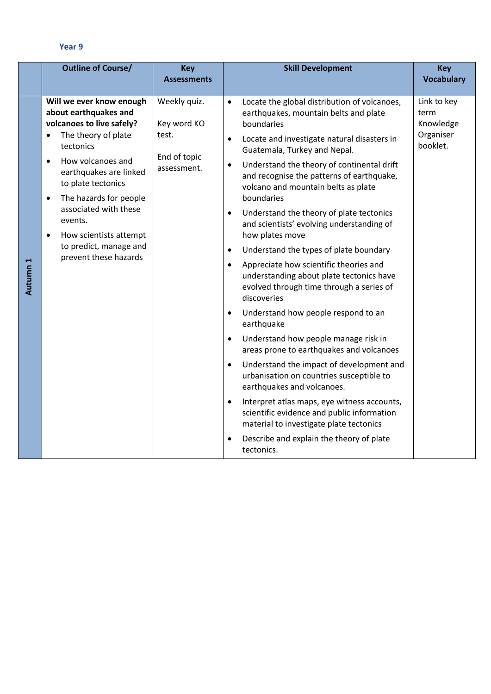|          | <b>Outline of Course/</b>                                                                                                                                                                                                                                                                                                                                                              | <b>Key</b><br><b>Assessments</b>                                    | <b>Skill Development</b>                                                                                                                                                                                                                                                                                                                                                                                                                                                                                                                                                                                                                                                                                                                                                                                                                                                                                                                                                                                                                                                                                                                                                                                                                                  | <b>Key</b><br><b>Vocabulary</b>                           |
|----------|----------------------------------------------------------------------------------------------------------------------------------------------------------------------------------------------------------------------------------------------------------------------------------------------------------------------------------------------------------------------------------------|---------------------------------------------------------------------|-----------------------------------------------------------------------------------------------------------------------------------------------------------------------------------------------------------------------------------------------------------------------------------------------------------------------------------------------------------------------------------------------------------------------------------------------------------------------------------------------------------------------------------------------------------------------------------------------------------------------------------------------------------------------------------------------------------------------------------------------------------------------------------------------------------------------------------------------------------------------------------------------------------------------------------------------------------------------------------------------------------------------------------------------------------------------------------------------------------------------------------------------------------------------------------------------------------------------------------------------------------|-----------------------------------------------------------|
| Autumn 1 | Will we ever know enough<br>about earthquakes and<br>volcanoes to live safely?<br>The theory of plate<br>$\bullet$<br>tectonics<br>How volcanoes and<br>$\bullet$<br>earthquakes are linked<br>to plate tectonics<br>The hazards for people<br>$\bullet$<br>associated with these<br>events.<br>How scientists attempt<br>$\bullet$<br>to predict, manage and<br>prevent these hazards | Weekly quiz.<br>Key word KO<br>test.<br>End of topic<br>assessment. | Locate the global distribution of volcanoes,<br>$\bullet$<br>earthquakes, mountain belts and plate<br>boundaries<br>Locate and investigate natural disasters in<br>$\bullet$<br>Guatemala, Turkey and Nepal.<br>Understand the theory of continental drift<br>$\bullet$<br>and recognise the patterns of earthquake,<br>volcano and mountain belts as plate<br>boundaries<br>Understand the theory of plate tectonics<br>$\bullet$<br>and scientists' evolving understanding of<br>how plates move<br>Understand the types of plate boundary<br>$\bullet$<br>Appreciate how scientific theories and<br>$\bullet$<br>understanding about plate tectonics have<br>evolved through time through a series of<br>discoveries<br>Understand how people respond to an<br>$\bullet$<br>earthquake<br>Understand how people manage risk in<br>$\bullet$<br>areas prone to earthquakes and volcanoes<br>Understand the impact of development and<br>$\bullet$<br>urbanisation on countries susceptible to<br>earthquakes and volcanoes.<br>Interpret atlas maps, eye witness accounts,<br>$\bullet$<br>scientific evidence and public information<br>material to investigate plate tectonics<br>Describe and explain the theory of plate<br>$\bullet$<br>tectonics. | Link to key<br>term<br>Knowledge<br>Organiser<br>booklet. |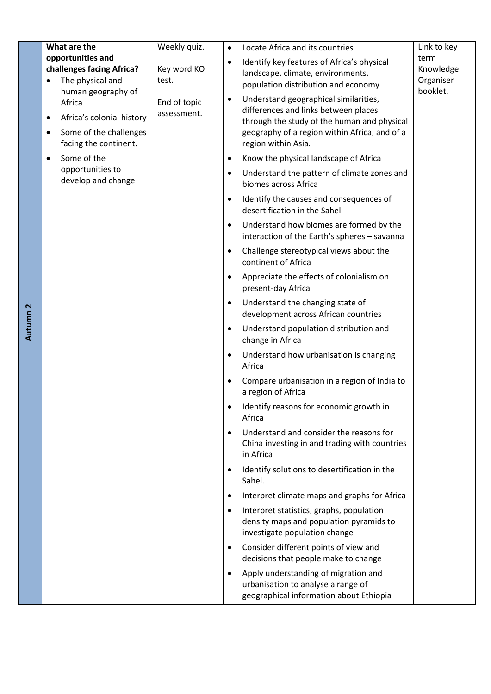|          | What are the                                                                                                      | Weekly quiz.                | $\bullet$                                                               | Locate Africa and its countries                                                                                                                                                                      | Link to key                                |
|----------|-------------------------------------------------------------------------------------------------------------------|-----------------------------|-------------------------------------------------------------------------|------------------------------------------------------------------------------------------------------------------------------------------------------------------------------------------------------|--------------------------------------------|
|          | opportunities and<br>challenges facing Africa?<br>The physical and                                                | Key word KO<br>test.        | $\bullet$                                                               | Identify key features of Africa's physical<br>landscape, climate, environments,<br>population distribution and economy                                                                               | term<br>Knowledge<br>Organiser<br>booklet. |
|          | human geography of<br>Africa<br>Africa's colonial history<br>Some of the challenges<br>٠<br>facing the continent. | End of topic<br>assessment. | $\bullet$                                                               | Understand geographical similarities,<br>differences and links between places<br>through the study of the human and physical<br>geography of a region within Africa, and of a<br>region within Asia. |                                            |
|          | Some of the<br>$\bullet$                                                                                          |                             | $\bullet$                                                               | Know the physical landscape of Africa                                                                                                                                                                |                                            |
|          | opportunities to<br>develop and change                                                                            | $\bullet$                   | Understand the pattern of climate zones and<br>biomes across Africa     |                                                                                                                                                                                                      |                                            |
|          |                                                                                                                   | $\bullet$                   | Identify the causes and consequences of<br>desertification in the Sahel |                                                                                                                                                                                                      |                                            |
|          |                                                                                                                   |                             | $\bullet$                                                               | Understand how biomes are formed by the<br>interaction of the Earth's spheres - savanna                                                                                                              |                                            |
|          |                                                                                                                   |                             | $\bullet$                                                               | Challenge stereotypical views about the<br>continent of Africa                                                                                                                                       |                                            |
|          |                                                                                                                   |                             | $\bullet$                                                               | Appreciate the effects of colonialism on<br>present-day Africa                                                                                                                                       |                                            |
| Autumn 2 |                                                                                                                   |                             | $\bullet$                                                               | Understand the changing state of<br>development across African countries                                                                                                                             |                                            |
|          |                                                                                                                   |                             | $\bullet$                                                               | Understand population distribution and<br>change in Africa                                                                                                                                           |                                            |
|          |                                                                                                                   |                             | ٠                                                                       | Understand how urbanisation is changing<br>Africa                                                                                                                                                    |                                            |
|          |                                                                                                                   |                             | $\bullet$                                                               | Compare urbanisation in a region of India to<br>a region of Africa                                                                                                                                   |                                            |
|          |                                                                                                                   |                             |                                                                         | Identify reasons for economic growth in<br>Africa                                                                                                                                                    |                                            |
|          |                                                                                                                   |                             | $\bullet$                                                               | Understand and consider the reasons for<br>China investing in and trading with countries<br>in Africa                                                                                                |                                            |
|          |                                                                                                                   |                             | $\bullet$                                                               | Identify solutions to desertification in the<br>Sahel.                                                                                                                                               |                                            |
|          |                                                                                                                   |                             | $\bullet$                                                               | Interpret climate maps and graphs for Africa                                                                                                                                                         |                                            |
|          |                                                                                                                   |                             | $\bullet$                                                               | Interpret statistics, graphs, population<br>density maps and population pyramids to<br>investigate population change                                                                                 |                                            |
|          |                                                                                                                   |                             | ٠                                                                       | Consider different points of view and<br>decisions that people make to change                                                                                                                        |                                            |
|          |                                                                                                                   |                             | $\bullet$                                                               | Apply understanding of migration and<br>urbanisation to analyse a range of<br>geographical information about Ethiopia                                                                                |                                            |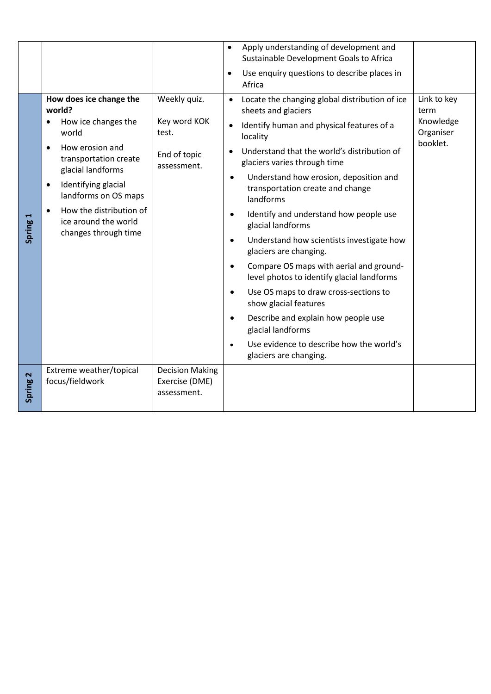|             |                                                                                                                                                                                                                                                                           |                                                                      | Apply understanding of development and<br>$\bullet$<br>Sustainable Development Goals to Africa<br>Use enquiry questions to describe places in<br>$\bullet$<br>Africa                                                                                                                                                                                                                                                                                                                                                                                                                                                                                                                                                                                                                                                                                             |                                                           |
|-------------|---------------------------------------------------------------------------------------------------------------------------------------------------------------------------------------------------------------------------------------------------------------------------|----------------------------------------------------------------------|------------------------------------------------------------------------------------------------------------------------------------------------------------------------------------------------------------------------------------------------------------------------------------------------------------------------------------------------------------------------------------------------------------------------------------------------------------------------------------------------------------------------------------------------------------------------------------------------------------------------------------------------------------------------------------------------------------------------------------------------------------------------------------------------------------------------------------------------------------------|-----------------------------------------------------------|
| Н<br>Spring | How does ice change the<br>world?<br>How ice changes the<br>world<br>How erosion and<br>transportation create<br>glacial landforms<br>Identifying glacial<br>$\bullet$<br>landforms on OS maps<br>How the distribution of<br>ice around the world<br>changes through time | Weekly quiz.<br>Key word KOK<br>test.<br>End of topic<br>assessment. | Locate the changing global distribution of ice<br>$\bullet$<br>sheets and glaciers<br>Identify human and physical features of a<br>$\bullet$<br>locality<br>Understand that the world's distribution of<br>$\bullet$<br>glaciers varies through time<br>Understand how erosion, deposition and<br>$\bullet$<br>transportation create and change<br>landforms<br>Identify and understand how people use<br>$\bullet$<br>glacial landforms<br>Understand how scientists investigate how<br>$\bullet$<br>glaciers are changing.<br>Compare OS maps with aerial and ground-<br>$\bullet$<br>level photos to identify glacial landforms<br>Use OS maps to draw cross-sections to<br>$\bullet$<br>show glacial features<br>Describe and explain how people use<br>$\bullet$<br>glacial landforms<br>Use evidence to describe how the world's<br>glaciers are changing. | Link to key<br>term<br>Knowledge<br>Organiser<br>booklet. |
| Spring 2    | Extreme weather/topical<br>focus/fieldwork                                                                                                                                                                                                                                | <b>Decision Making</b><br>Exercise (DME)<br>assessment.              |                                                                                                                                                                                                                                                                                                                                                                                                                                                                                                                                                                                                                                                                                                                                                                                                                                                                  |                                                           |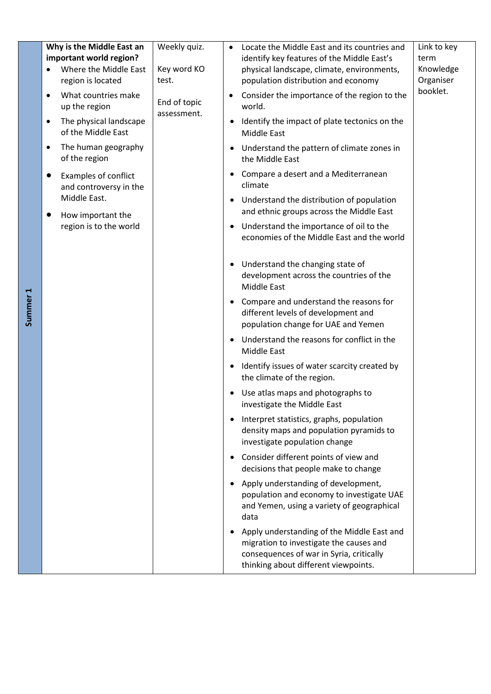|                     | Why is the Middle East an<br>important world region?<br>Where the Middle East<br>region is located | Weekly quiz.<br>Key word KO<br>test. | $\bullet$                                                                                                            | Locate the Middle East and its countries and<br>identify key features of the Middle East's<br>physical landscape, climate, environments,<br>population distribution and economy | Link to key<br>term<br>Knowledge<br>Organiser |
|---------------------|----------------------------------------------------------------------------------------------------|--------------------------------------|----------------------------------------------------------------------------------------------------------------------|---------------------------------------------------------------------------------------------------------------------------------------------------------------------------------|-----------------------------------------------|
|                     | What countries make<br>$\bullet$<br>up the region<br>The physical landscape<br>$\bullet$           | End of topic<br>assessment.          | ٠<br>$\bullet$                                                                                                       | Consider the importance of the region to the<br>world.<br>Identify the impact of plate tectonics on the                                                                         | booklet.                                      |
|                     | of the Middle East<br>The human geography<br>٠<br>of the region                                    |                                      | $\bullet$                                                                                                            | Middle East<br>Understand the pattern of climate zones in<br>the Middle East                                                                                                    |                                               |
|                     | Examples of conflict<br>and controversy in the                                                     |                                      | $\bullet$                                                                                                            | Compare a desert and a Mediterranean<br>climate                                                                                                                                 |                                               |
|                     | Middle East.<br>How important the                                                                  |                                      | $\bullet$                                                                                                            | Understand the distribution of population<br>and ethnic groups across the Middle East                                                                                           |                                               |
|                     | region is to the world                                                                             |                                      | $\bullet$                                                                                                            | Understand the importance of oil to the<br>economies of the Middle East and the world                                                                                           |                                               |
|                     |                                                                                                    |                                      | $\bullet$                                                                                                            | Understand the changing state of<br>development across the countries of the<br>Middle East                                                                                      |                                               |
| Summer <sub>1</sub> |                                                                                                    | $\bullet$                            | Compare and understand the reasons for<br>different levels of development and<br>population change for UAE and Yemen |                                                                                                                                                                                 |                                               |
|                     |                                                                                                    |                                      | $\bullet$                                                                                                            | Understand the reasons for conflict in the<br>Middle East                                                                                                                       |                                               |
|                     |                                                                                                    |                                      | $\bullet$                                                                                                            | Identify issues of water scarcity created by<br>the climate of the region.                                                                                                      |                                               |
|                     |                                                                                                    |                                      | $\bullet$                                                                                                            | Use atlas maps and photographs to<br>investigate the Middle East                                                                                                                |                                               |
|                     |                                                                                                    |                                      | $\bullet$                                                                                                            | Interpret statistics, graphs, population<br>density maps and population pyramids to<br>investigate population change                                                            |                                               |
|                     |                                                                                                    |                                      | $\bullet$                                                                                                            | Consider different points of view and<br>decisions that people make to change                                                                                                   |                                               |
|                     |                                                                                                    |                                      | $\bullet$                                                                                                            | Apply understanding of development,<br>population and economy to investigate UAE<br>and Yemen, using a variety of geographical<br>data                                          |                                               |
|                     |                                                                                                    |                                      | ٠                                                                                                                    | Apply understanding of the Middle East and<br>migration to investigate the causes and<br>consequences of war in Syria, critically<br>thinking about different viewpoints.       |                                               |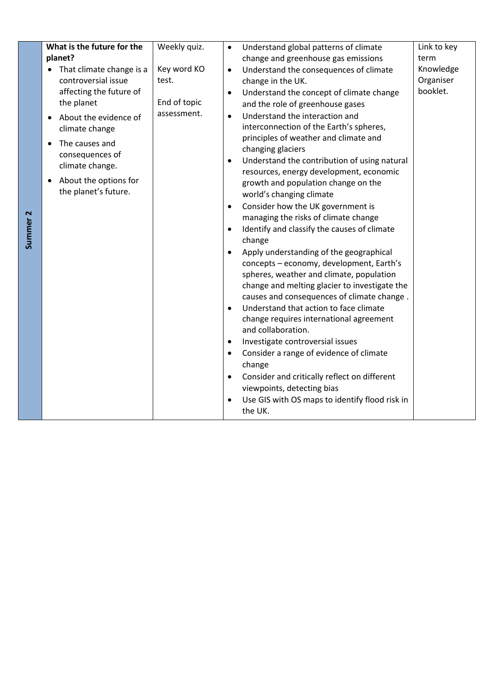| Summer <sub>2</sub> | What is the future for the<br>planet?<br>That climate change is a<br>controversial issue<br>affecting the future of<br>the planet<br>About the evidence of<br>climate change<br>The causes and<br>$\bullet$<br>consequences of<br>climate change.<br>About the options for<br>$\bullet$<br>the planet's future. | Weekly quiz.<br>Key word KO<br>test.<br>End of topic<br>assessment. | Understand global patterns of climate<br>$\bullet$<br>change and greenhouse gas emissions<br>Understand the consequences of climate<br>$\bullet$<br>change in the UK.<br>Understand the concept of climate change<br>$\bullet$<br>and the role of greenhouse gases<br>Understand the interaction and<br>$\bullet$<br>interconnection of the Earth's spheres,<br>principles of weather and climate and<br>changing glaciers<br>Understand the contribution of using natural<br>$\bullet$<br>resources, energy development, economic<br>growth and population change on the<br>world's changing climate<br>Consider how the UK government is<br>$\bullet$<br>managing the risks of climate change<br>Identify and classify the causes of climate<br>$\bullet$<br>change<br>Apply understanding of the geographical<br>$\bullet$<br>concepts - economy, development, Earth's<br>spheres, weather and climate, population<br>change and melting glacier to investigate the<br>causes and consequences of climate change.<br>Understand that action to face climate<br>$\bullet$<br>change requires international agreement<br>and collaboration.<br>Investigate controversial issues<br>$\bullet$<br>Consider a range of evidence of climate<br>$\bullet$<br>change<br>Consider and critically reflect on different<br>$\bullet$<br>viewpoints, detecting bias<br>Use GIS with OS maps to identify flood risk in<br>$\bullet$<br>the UK. | Link to key<br>term<br>Knowledge<br>Organiser<br>booklet. |
|---------------------|-----------------------------------------------------------------------------------------------------------------------------------------------------------------------------------------------------------------------------------------------------------------------------------------------------------------|---------------------------------------------------------------------|--------------------------------------------------------------------------------------------------------------------------------------------------------------------------------------------------------------------------------------------------------------------------------------------------------------------------------------------------------------------------------------------------------------------------------------------------------------------------------------------------------------------------------------------------------------------------------------------------------------------------------------------------------------------------------------------------------------------------------------------------------------------------------------------------------------------------------------------------------------------------------------------------------------------------------------------------------------------------------------------------------------------------------------------------------------------------------------------------------------------------------------------------------------------------------------------------------------------------------------------------------------------------------------------------------------------------------------------------------------------------------------------------------------------------------------|-----------------------------------------------------------|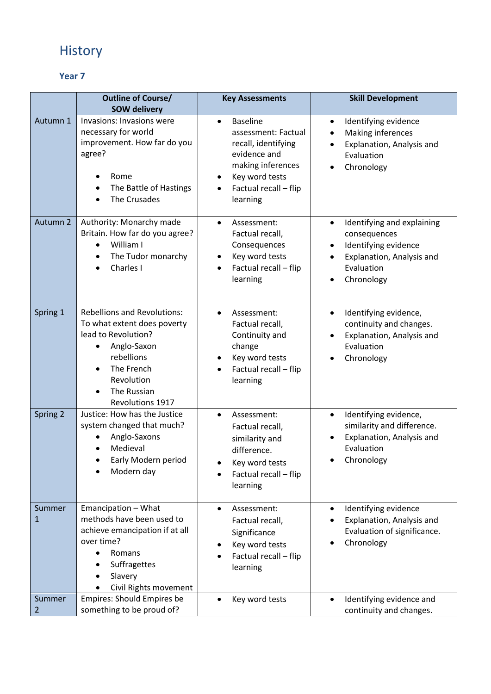# History

|                          | <b>Outline of Course/</b><br><b>SOW delivery</b>                                                                                                                                     | <b>Key Assessments</b>                                                                                                                                                      | <b>Skill Development</b>                                                                                                                      |
|--------------------------|--------------------------------------------------------------------------------------------------------------------------------------------------------------------------------------|-----------------------------------------------------------------------------------------------------------------------------------------------------------------------------|-----------------------------------------------------------------------------------------------------------------------------------------------|
| Autumn 1                 | Invasions: Invasions were<br>necessary for world<br>improvement. How far do you<br>agree?<br>Rome<br>The Battle of Hastings<br>The Crusades                                          | <b>Baseline</b><br>$\bullet$<br>assessment: Factual<br>recall, identifying<br>evidence and<br>making inferences<br>Key word tests<br>٠<br>Factual recall - flip<br>learning | Identifying evidence<br>$\bullet$<br>Making inferences<br>Explanation, Analysis and<br>Evaluation<br>Chronology                               |
| Autumn 2                 | Authority: Monarchy made<br>Britain. How far do you agree?<br>William I<br>$\bullet$<br>The Tudor monarchy<br>$\bullet$<br>Charles I                                                 | Assessment:<br>$\bullet$<br>Factual recall,<br>Consequences<br>Key word tests<br>Factual recall - flip<br>learning                                                          | Identifying and explaining<br>consequences<br>Identifying evidence<br>$\bullet$<br>Explanation, Analysis and<br>Evaluation<br>Chronology<br>٠ |
| Spring 1                 | <b>Rebellions and Revolutions:</b><br>To what extent does poverty<br>lead to Revolution?<br>Anglo-Saxon<br>rebellions<br>The French<br>Revolution<br>The Russian<br>Revolutions 1917 | Assessment:<br>$\bullet$<br>Factual recall,<br>Continuity and<br>change<br>Key word tests<br>Factual recall - flip<br>learning                                              | Identifying evidence,<br>$\bullet$<br>continuity and changes.<br>Explanation, Analysis and<br>Evaluation<br>Chronology                        |
| Spring 2                 | Justice: How has the Justice<br>system changed that much?<br>Anglo-Saxons<br>Medieval<br>Early Modern period<br>Modern day                                                           | Assessment:<br>$\bullet$<br>Factual recall,<br>similarity and<br>difference.<br>Key word tests<br>Factual recall - flip<br>learning                                         | Identifying evidence,<br>$\bullet$<br>similarity and difference.<br>Explanation, Analysis and<br>Evaluation<br>Chronology                     |
| Summer<br>$\mathbf{1}$   | Emancipation - What<br>methods have been used to<br>achieve emancipation if at all<br>over time?<br>Romans<br>$\bullet$<br>Suffragettes<br>Slavery<br>Civil Rights movement          | Assessment:<br>$\bullet$<br>Factual recall,<br>Significance<br>Key word tests<br>Factual recall - flip<br>learning                                                          | Identifying evidence<br>$\bullet$<br>Explanation, Analysis and<br>Evaluation of significance.<br>Chronology<br>٠                              |
| Summer<br>$\overline{2}$ | <b>Empires: Should Empires be</b><br>something to be proud of?                                                                                                                       | Key word tests                                                                                                                                                              | Identifying evidence and<br>$\bullet$<br>continuity and changes.                                                                              |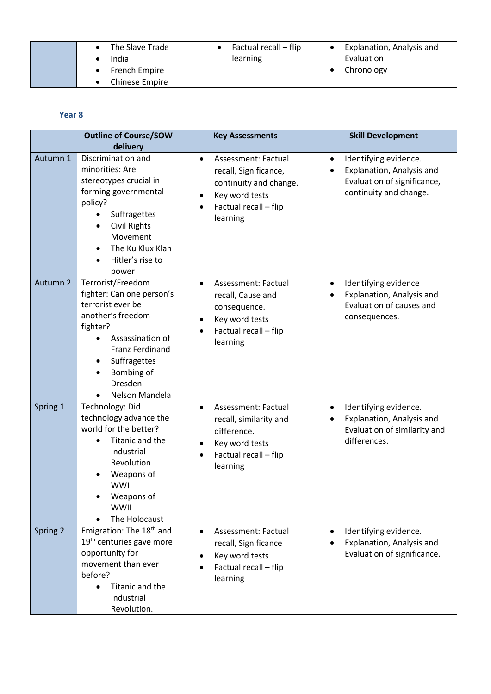| The Slave Trade | Factual recall – flip | Explanation, Analysis and |
|-----------------|-----------------------|---------------------------|
| India           | learning              | Evaluation                |
| French Empire   |                       | Chronology                |
| Chinese Empire  |                       |                           |

|          | <b>Outline of Course/SOW</b><br>delivery                                                                                                                                                                      | <b>Key Assessments</b>                                                                                                                     | <b>Skill Development</b>                                                                                                 |
|----------|---------------------------------------------------------------------------------------------------------------------------------------------------------------------------------------------------------------|--------------------------------------------------------------------------------------------------------------------------------------------|--------------------------------------------------------------------------------------------------------------------------|
| Autumn 1 | Discrimination and<br>minorities: Are<br>stereotypes crucial in<br>forming governmental<br>policy?<br>Suffragettes<br><b>Civil Rights</b><br>Movement<br>The Ku Klux Klan<br>Hitler's rise to<br>power        | Assessment: Factual<br>$\bullet$<br>recall, Significance,<br>continuity and change.<br>Key word tests<br>Factual recall - flip<br>learning | Identifying evidence.<br>$\bullet$<br>Explanation, Analysis and<br>Evaluation of significance,<br>continuity and change. |
| Autumn 2 | Terrorist/Freedom<br>fighter: Can one person's<br>terrorist ever be<br>another's freedom<br>fighter?<br>Assassination of<br><b>Franz Ferdinand</b><br>Suffragettes<br>Bombing of<br>Dresden<br>Nelson Mandela | Assessment: Factual<br>$\bullet$<br>recall, Cause and<br>consequence.<br>Key word tests<br>Factual recall - flip<br>learning               | Identifying evidence<br>$\bullet$<br>Explanation, Analysis and<br>Evaluation of causes and<br>consequences.              |
| Spring 1 | Technology: Did<br>technology advance the<br>world for the better?<br>Titanic and the<br>Industrial<br>Revolution<br>Weapons of<br>WWI<br>Weapons of<br><b>WWII</b><br>The Holocaust                          | Assessment: Factual<br>$\bullet$<br>recall, similarity and<br>difference.<br>Key word tests<br>Factual recall - flip<br>learning           | Identifying evidence.<br>$\bullet$<br>Explanation, Analysis and<br>Evaluation of similarity and<br>differences.          |
| Spring 2 | Emigration: The 18 <sup>th</sup> and<br>19 <sup>th</sup> centuries gave more<br>opportunity for<br>movement than ever<br>before?<br>Titanic and the<br>$\bullet$<br>Industrial<br>Revolution.                 | Assessment: Factual<br>$\bullet$<br>recall, Significance<br>Key word tests<br>Factual recall - flip<br>learning                            | Identifying evidence.<br>Explanation, Analysis and<br>Evaluation of significance.                                        |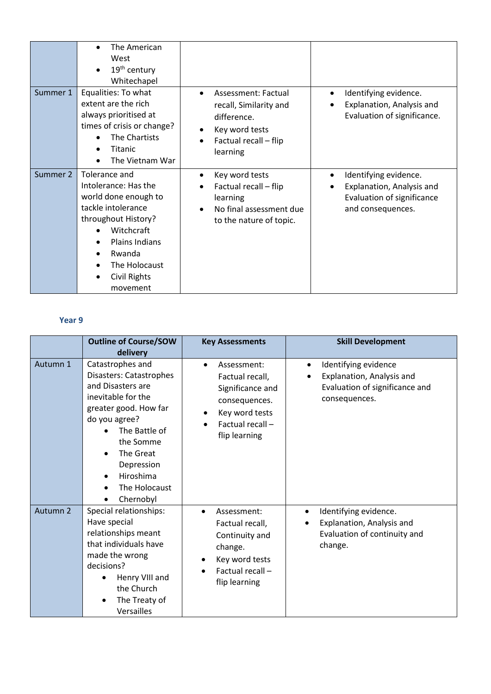|          | The American<br>West<br>19 <sup>th</sup> century<br>Whitechapel                                                                                                                                          |                                                                                                                     |                                                                                                       |
|----------|----------------------------------------------------------------------------------------------------------------------------------------------------------------------------------------------------------|---------------------------------------------------------------------------------------------------------------------|-------------------------------------------------------------------------------------------------------|
| Summer 1 | Equalities: To what<br>extent are the rich<br>always prioritised at<br>times of crisis or change?<br>The Chartists<br>Titanic<br>The Vietnam War                                                         | Assessment: Factual<br>recall, Similarity and<br>difference.<br>Key word tests<br>Factual recall - flip<br>learning | Identifying evidence.<br>Explanation, Analysis and<br>Evaluation of significance.                     |
| Summer 2 | Tolerance and<br>Intolerance: Has the<br>world done enough to<br>tackle intolerance<br>throughout History?<br>Witchcraft<br><b>Plains Indians</b><br>Rwanda<br>The Holocaust<br>Civil Rights<br>movement | Key word tests<br>Factual recall - flip<br>learning<br>No final assessment due<br>to the nature of topic.           | Identifying evidence.<br>Explanation, Analysis and<br>Evaluation of significance<br>and consequences. |

|                     | <b>Outline of Course/SOW</b><br>delivery                                                                                                                                                                                                                                    | <b>Key Assessments</b>                                                                                                                                   | <b>Skill Development</b>                                                                                                |
|---------------------|-----------------------------------------------------------------------------------------------------------------------------------------------------------------------------------------------------------------------------------------------------------------------------|----------------------------------------------------------------------------------------------------------------------------------------------------------|-------------------------------------------------------------------------------------------------------------------------|
| Autumn 1            | Catastrophes and<br>Disasters: Catastrophes<br>and Disasters are<br>inevitable for the<br>greater good. How far<br>do you agree?<br>The Battle of<br>the Somme<br>The Great<br>$\bullet$<br>Depression<br>Hiroshima<br>$\bullet$<br>The Holocaust<br>$\bullet$<br>Chernobyl | Assessment:<br>$\bullet$<br>Factual recall,<br>Significance and<br>consequences.<br>Key word tests<br>Factual recall-<br>flip learning                   | Identifying evidence<br>$\bullet$<br>Explanation, Analysis and<br>Evaluation of significance and<br>consequences.       |
| Autumn <sub>2</sub> | Special relationships:<br>Have special<br>relationships meant<br>that individuals have<br>made the wrong<br>decisions?<br>Henry VIII and<br>the Church<br>The Treaty of<br><b>Versailles</b>                                                                                | Assessment:<br>$\bullet$<br>Factual recall,<br>Continuity and<br>change.<br>Key word tests<br>$\bullet$<br>Factual recall-<br>$\bullet$<br>flip learning | Identifying evidence.<br>$\bullet$<br>Explanation, Analysis and<br>$\bullet$<br>Evaluation of continuity and<br>change. |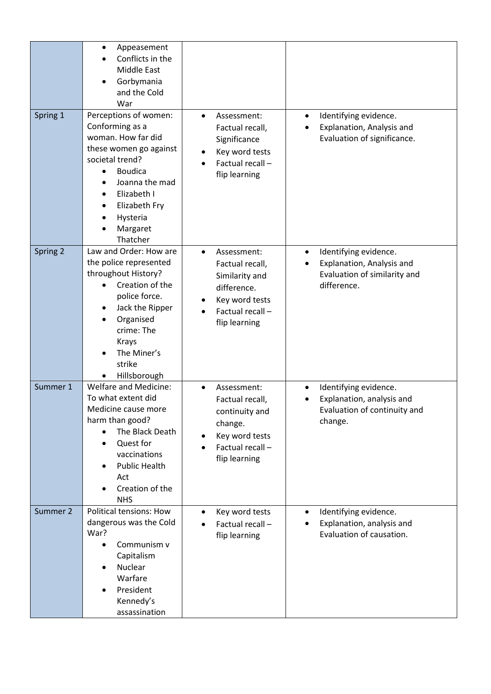|          | Appeasement<br>$\bullet$<br>Conflicts in the<br>Middle East<br>Gorbymania<br>and the Cold<br>War                                                                                                                                              |                                                                                                                                                 |                                                                                                                |
|----------|-----------------------------------------------------------------------------------------------------------------------------------------------------------------------------------------------------------------------------------------------|-------------------------------------------------------------------------------------------------------------------------------------------------|----------------------------------------------------------------------------------------------------------------|
| Spring 1 | Perceptions of women:<br>Conforming as a<br>woman. How far did<br>these women go against<br>societal trend?<br><b>Boudica</b><br>$\bullet$<br>Joanna the mad<br>Elizabeth I<br>Elizabeth Fry<br>$\bullet$<br>Hysteria<br>Margaret<br>Thatcher | Assessment:<br>$\bullet$<br>Factual recall,<br>Significance<br>Key word tests<br>$\bullet$<br>Factual recall-<br>flip learning                  | Identifying evidence.<br>$\bullet$<br>Explanation, Analysis and<br>$\bullet$<br>Evaluation of significance.    |
| Spring 2 | Law and Order: How are<br>the police represented<br>throughout History?<br>Creation of the<br>police force.<br>Jack the Ripper<br>Organised<br>crime: The<br><b>Krays</b><br>The Miner's<br>strike<br>Hillsborough                            | Assessment:<br>$\bullet$<br>Factual recall,<br>Similarity and<br>difference.<br>Key word tests<br>$\bullet$<br>Factual recall-<br>flip learning | Identifying evidence.<br>$\bullet$<br>Explanation, Analysis and<br>Evaluation of similarity and<br>difference. |
| Summer 1 | <b>Welfare and Medicine:</b><br>To what extent did<br>Medicine cause more<br>harm than good?<br>The Black Death<br>Quest for<br>$\bullet$<br>vaccinations<br><b>Public Health</b><br>Act<br>Creation of the<br><b>NHS</b>                     | Assessment:<br>$\bullet$<br>Factual recall,<br>continuity and<br>change.<br>Key word tests<br>Factual recall-<br>flip learning                  | Identifying evidence.<br>$\bullet$<br>Explanation, analysis and<br>Evaluation of continuity and<br>change.     |
| Summer 2 | <b>Political tensions: How</b><br>dangerous was the Cold<br>War?<br>Communism v<br>Capitalism<br>Nuclear<br>$\bullet$<br>Warfare<br>President<br>Kennedy's<br>assassination                                                                   | Key word tests<br>$\bullet$<br>Factual recall-<br>flip learning                                                                                 | Identifying evidence.<br>$\bullet$<br>Explanation, analysis and<br>$\bullet$<br>Evaluation of causation.       |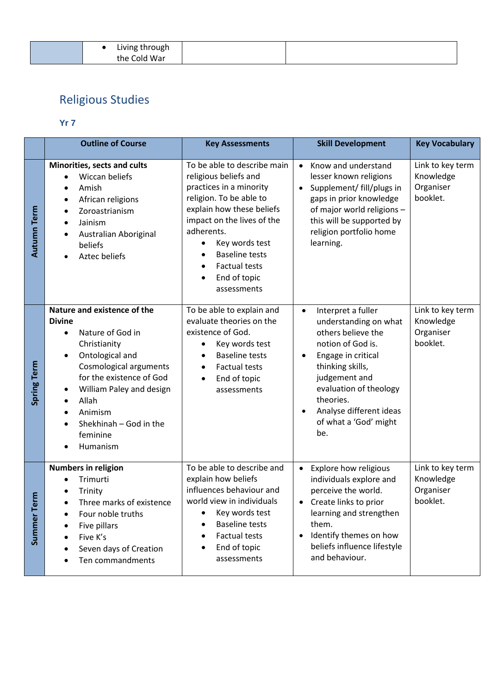|  | Living through |  |
|--|----------------|--|
|  | the Cold War   |  |

# Religious Studies

## **Yr 7**

|                | <b>Outline of Course</b>                                                                                                                                                                                                                                                                                                    | <b>Key Assessments</b>                                                                                                                                                                                                                                                                                               | <b>Skill Development</b>                                                                                                                                                                                                                                                      | <b>Key Vocabulary</b>                                  |
|----------------|-----------------------------------------------------------------------------------------------------------------------------------------------------------------------------------------------------------------------------------------------------------------------------------------------------------------------------|----------------------------------------------------------------------------------------------------------------------------------------------------------------------------------------------------------------------------------------------------------------------------------------------------------------------|-------------------------------------------------------------------------------------------------------------------------------------------------------------------------------------------------------------------------------------------------------------------------------|--------------------------------------------------------|
| Autumn Term    | Minorities, sects and cults<br>Wiccan beliefs<br>$\bullet$<br>Amish<br>$\bullet$<br>African religions<br>$\bullet$<br>Zoroastrianism<br>$\bullet$<br>Jainism<br>$\bullet$<br>Australian Aboriginal<br>beliefs<br>Aztec beliefs<br>$\bullet$                                                                                 | To be able to describe main<br>religious beliefs and<br>practices in a minority<br>religion. To be able to<br>explain how these beliefs<br>impact on the lives of the<br>adherents.<br>Key words test<br>٠<br><b>Baseline tests</b><br><b>Factual tests</b><br>$\bullet$<br>End of topic<br>$\bullet$<br>assessments | Know and understand<br>$\bullet$<br>lesser known religions<br>Supplement/ fill/plugs in<br>$\bullet$<br>gaps in prior knowledge<br>of major world religions -<br>this will be supported by<br>religion portfolio home<br>learning.                                            | Link to key term<br>Knowledge<br>Organiser<br>booklet. |
| Spring Term    | Nature and existence of the<br><b>Divine</b><br>Nature of God in<br>Christianity<br>Ontological and<br>$\bullet$<br><b>Cosmological arguments</b><br>for the existence of God<br>William Paley and design<br>٠<br>Allah<br>$\bullet$<br>Animism<br>$\bullet$<br>Shekhinah - God in the<br>$\bullet$<br>feminine<br>Humanism | To be able to explain and<br>evaluate theories on the<br>existence of God.<br>Key words test<br>٠<br><b>Baseline tests</b><br>$\bullet$<br><b>Factual tests</b><br>$\bullet$<br>End of topic<br>$\bullet$<br>assessments                                                                                             | Interpret a fuller<br>$\bullet$<br>understanding on what<br>others believe the<br>notion of God is.<br>Engage in critical<br>$\bullet$<br>thinking skills,<br>judgement and<br>evaluation of theology<br>theories.<br>Analyse different ideas<br>of what a 'God' might<br>be. | Link to key term<br>Knowledge<br>Organiser<br>booklet. |
| Term<br>Summer | <b>Numbers in religion</b><br>Trimurti<br>Trinity<br>Three marks of existence<br>Four noble truths<br>$\bullet$<br>Five pillars<br>Five K's<br>Seven days of Creation<br>Ten commandments                                                                                                                                   | To be able to describe and<br>explain how beliefs<br>influences behaviour and<br>world view in individuals<br>Key words test<br><b>Baseline tests</b><br><b>Factual tests</b><br>End of topic<br>assessments                                                                                                         | Explore how religious<br>$\bullet$<br>individuals explore and<br>perceive the world.<br>Create links to prior<br>$\bullet$<br>learning and strengthen<br>them.<br>Identify themes on how<br>beliefs influence lifestyle<br>and behaviour.                                     | Link to key term<br>Knowledge<br>Organiser<br>booklet. |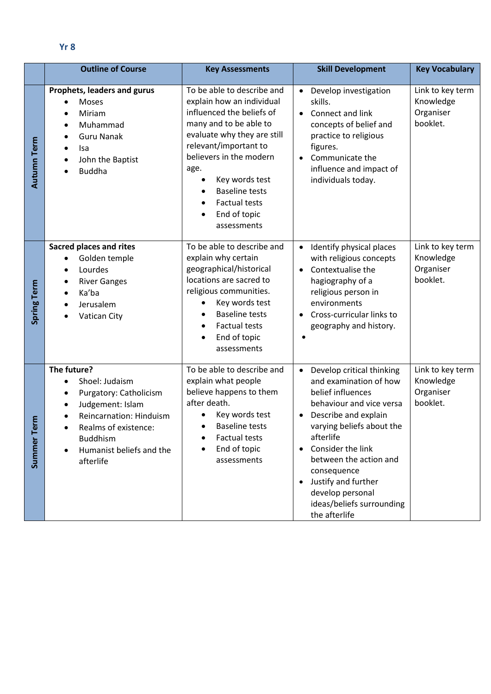| Yr8 |  |  |
|-----|--|--|
|     |  |  |

|                    | <b>Outline of Course</b>                                                                                                                                                                                | <b>Key Assessments</b>                                                                                                                                                                                                                                                                                      | <b>Skill Development</b>                                                                                                                                                                                                                                                                                                                   | <b>Key Vocabulary</b>                                  |
|--------------------|---------------------------------------------------------------------------------------------------------------------------------------------------------------------------------------------------------|-------------------------------------------------------------------------------------------------------------------------------------------------------------------------------------------------------------------------------------------------------------------------------------------------------------|--------------------------------------------------------------------------------------------------------------------------------------------------------------------------------------------------------------------------------------------------------------------------------------------------------------------------------------------|--------------------------------------------------------|
| <b>Autumn Term</b> | Prophets, leaders and gurus<br>Moses<br>Miriam<br>Muhammad<br>$\bullet$<br><b>Guru Nanak</b><br>lsa<br>٠<br>John the Baptist<br>$\bullet$<br><b>Buddha</b><br>$\bullet$                                 | To be able to describe and<br>explain how an individual<br>influenced the beliefs of<br>many and to be able to<br>evaluate why they are still<br>relevant/important to<br>believers in the modern<br>age.<br>Key words test<br><b>Baseline tests</b><br><b>Factual tests</b><br>End of topic<br>assessments | Develop investigation<br>$\bullet$<br>skills.<br>Connect and link<br>concepts of belief and<br>practice to religious<br>figures.<br>Communicate the<br>influence and impact of<br>individuals today.                                                                                                                                       | Link to key term<br>Knowledge<br>Organiser<br>booklet. |
| Spring Term        | <b>Sacred places and rites</b><br>Golden temple<br>$\bullet$<br>Lourdes<br>$\bullet$<br><b>River Ganges</b><br>Ka'ba<br>Jerusalem<br>Vatican City                                                       | To be able to describe and<br>explain why certain<br>geographical/historical<br>locations are sacred to<br>religious communities.<br>Key words test<br><b>Baseline tests</b><br><b>Factual tests</b><br>End of topic<br>assessments                                                                         | Identify physical places<br>$\bullet$<br>with religious concepts<br>Contextualise the<br>$\bullet$<br>hagiography of a<br>religious person in<br>environments<br>Cross-curricular links to<br>$\bullet$<br>geography and history.                                                                                                          | Link to key term<br>Knowledge<br>Organiser<br>booklet. |
| Erm<br>۴<br>Summer | The future?<br>Shoel: Judaism<br>Purgatory: Catholicism<br>Judgement: Islam<br>Reincarnation: Hinduism<br>Realms of existence:<br><b>Buddhism</b><br>Humanist beliefs and the<br>$\bullet$<br>afterlife | To be able to describe and<br>explain what people<br>believe happens to them<br>after death.<br>Key words test<br><b>Baseline tests</b><br>Factual tests<br>End of topic<br>assessments                                                                                                                     | Develop critical thinking<br>$\bullet$<br>and examination of how<br>belief influences<br>behaviour and vice versa<br>Describe and explain<br>varying beliefs about the<br>afterlife<br>Consider the link<br>between the action and<br>consequence<br>Justify and further<br>develop personal<br>ideas/beliefs surrounding<br>the afterlife | Link to key term<br>Knowledge<br>Organiser<br>booklet. |